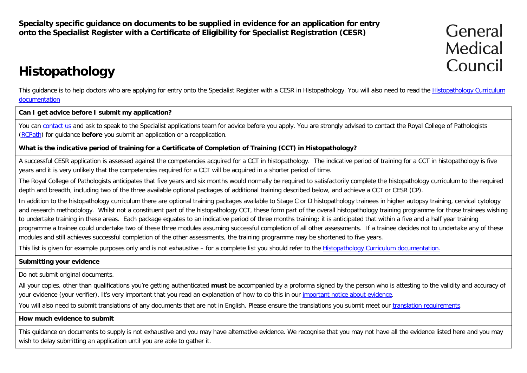**Specialty specific guidance on documents to be supplied in evidence for an application for entry onto the Specialist Register with a Certificate of Eligibility for Specialist Registration (CESR)**

General Medical Council

# **Histopathology**

This quidance is to help doctors who are applying for entry onto the Specialist Register with a CESR in [Histopathology](http://www.gmc-uk.org/education/postgraduate/histopathology.asp). You will also need to read the Histopathology Curriculum [documentation](http://www.gmc-uk.org/education/postgraduate/histopathology.asp)

#### **Can I get advice before I submit my application?**

You can [contact us](http://www.gmc-uk.org/contact.asp) and ask to speak to the Specialist applications team for advice before you apply. You are strongly advised to contact the Royal College of Pathologists [\(RCPath\)](http://www.rcpath.org/) for guidance **before** you submit an application or a reapplication.

#### **What is the indicative period of training for a Certificate of Completion of Training (CCT) in Histopathology?**

A successful CESR application is assessed against the competencies acquired for a CCT in histopathology. The indicative period of training for a CCT in histopathology is five years and it is very unlikely that the competencies required for a CCT will be acquired in a shorter period of time.

The Royal College of Pathologists anticipates that five years and six months would normally be required to satisfactorily complete the histopathology curriculum to the required depth and breadth, including two of the three available optional packages of additional training described below, and achieve a CCT or CESR (CP).

In addition to the histopathology curriculum there are optional training packages available to Stage C or D histopathology trainees in higher autopsy training, cervical cytology and research methodology. Whilst not a constituent part of the histopathology CCT, these form part of the overall histopathology training programme for those trainees wishing to undertake training in these areas. Each package equates to an indicative period of three months training; it is anticipated that within a five and a half year training programme a trainee could undertake two of these three modules assuming successful completion of all other assessments. If a trainee decides not to undertake any of these modules and still achieves successful completion of the other assessments, the training programme may be shortened to five years.

This list is given for example purposes only and is not exhaustive – for a complete list you should refer to the [Histopathology Curriculum documentation.](http://www.gmc-uk.org/education/postgraduate/histopathology.asp)

#### **Submitting your evidence**

Do not submit original documents.

All your copies, other than qualifications you're getting authenticated **must** be accompanied by a proforma signed by the person who is attesting to the validity and accuracy of your evidence (your verifier). It's very important that you read an explanation of how to do this in our [important notice about evidence.](http://www.gmc-uk.org/doctors/evidence_notice.asp)

You will also need to submit translations of any documents that are not in English. Please ensure the translations you submit meet our [translation requirements.](http://www.gmc-uk.org/doctors/translations.asp)

#### **How much evidence to submit**

This guidance on documents to supply is not exhaustive and you may have alternative evidence. We recognise that you may not have all the evidence listed here and you may wish to delay submitting an application until you are able to gather it.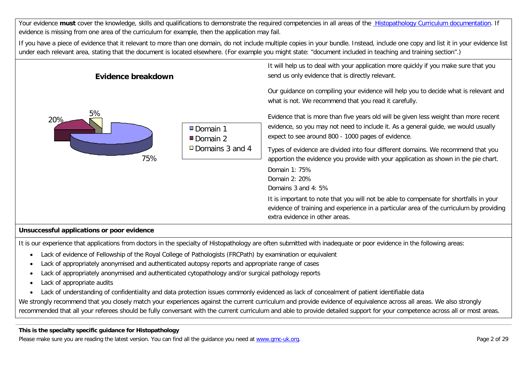Your evidence **must** cover the knowledge, skills and qualifications to demonstrate the required competencies in all areas of the [Histopathology Curriculum documentation.](http://www.gmc-uk.org/education/postgraduate/histopathology.asp) If evidence is missing from one area of the curriculum for example, then the application may fail.

If you have a piece of evidence that it relevant to more than one domain, do not include multiple copies in your bundle. Instead, include one copy and list it in your evidence list under each relevant area, stating that the document is located elsewhere. (For example you might state: "document included in teaching and training section".)

| Evidence breakdown |                                                  | It will help us to deal with your application more quickly if you make sure that you<br>send us only evidence that is directly relevant.                                                                                                                                                                                                                                                                                                                                                                                                                                                                                                                                                                                                                                                                                                    |
|--------------------|--------------------------------------------------|---------------------------------------------------------------------------------------------------------------------------------------------------------------------------------------------------------------------------------------------------------------------------------------------------------------------------------------------------------------------------------------------------------------------------------------------------------------------------------------------------------------------------------------------------------------------------------------------------------------------------------------------------------------------------------------------------------------------------------------------------------------------------------------------------------------------------------------------|
| 5%<br>20%<br>75%   | □ Domain 1<br>Domain 2<br>$\Box$ Domains 3 and 4 | Our guidance on compiling your evidence will help you to decide what is relevant and<br>what is not. We recommend that you read it carefully.<br>Evidence that is more than five years old will be given less weight than more recent<br>evidence, so you may not need to include it. As a general guide, we would usually<br>expect to see around 800 - 1000 pages of evidence.<br>Types of evidence are divided into four different domains. We recommend that you<br>apportion the evidence you provide with your application as shown in the pie chart.<br>Domain 1: 75%<br>Domain 2: 20%<br>Domains 3 and 4: 5%<br>It is important to note that you will not be able to compensate for shortfalls in your<br>evidence of training and experience in a particular area of the curriculum by providing<br>extra evidence in other areas. |
|                    |                                                  |                                                                                                                                                                                                                                                                                                                                                                                                                                                                                                                                                                                                                                                                                                                                                                                                                                             |

#### **Unsuccessful applications or poor evidence**

It is our experience that applications from doctors in the specialty of Histopathology are often submitted with inadequate or poor evidence in the following areas:

- Lack of evidence of Fellowship of the Royal College of Pathologists (FRCPath) by examination or equivalent
- Lack of appropriately anonymised and authenticated autopsy reports and appropriate range of cases
- Lack of appropriately anonymised and authenticated cytopathology and/or surgical pathology reports
- Lack of appropriate audits
- Lack of understanding of confidentiality and data protection issues commonly evidenced as lack of concealment of patient identifiable data

We strongly recommend that you closely match your experiences against the current curriculum and provide evidence of equivalence across all areas. We also strongly recommended that all your referees should be fully conversant with the current curriculum and able to provide detailed support for your competence across all or most areas.

#### **This is the specialty specific guidance for Histopathology**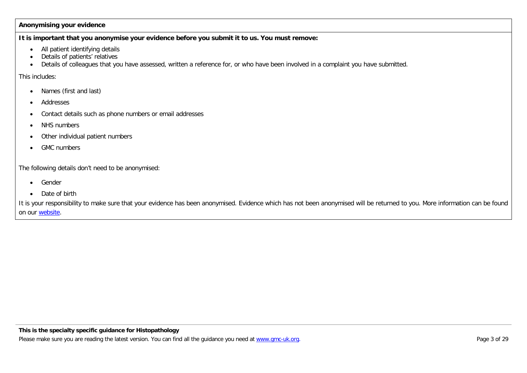#### **Anonymising your evidence**

**It is important that you anonymise your evidence before you submit it to us. You must remove:**

- All patient identifying details
- Details of patients' relatives
- Details of colleagues that you have assessed, written a reference for, or who have been involved in a complaint you have submitted.

This includes:

- Names (first and last)
- Addresses
- Contact details such as phone numbers or email addresses
- NHS numbers
- Other individual patient numbers
- GMC numbers

The following details don't need to be anonymised:

- Gender
- Date of birth

It is your responsibility to make sure that your evidence has been anonymised. Evidence which has not been anonymised will be returned to you. More information can be found on our [website.](http://www.gmc-uk.org/doctors/24769.asp)

#### **This is the specialty specific guidance for Histopathology**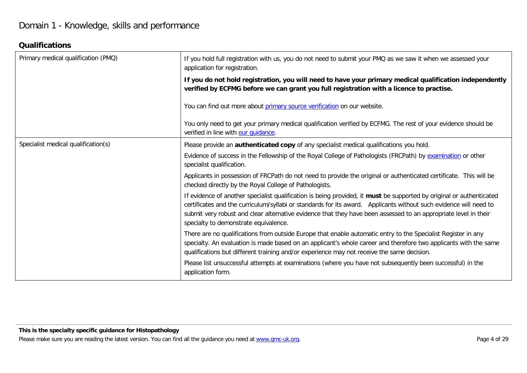### **Qualifications**

| Primary medical qualification (PMQ) | If you hold full registration with us, you do not need to submit your PMQ as we saw it when we assessed your<br>application for registration.                                                                                                                                                                                                                                                         |
|-------------------------------------|-------------------------------------------------------------------------------------------------------------------------------------------------------------------------------------------------------------------------------------------------------------------------------------------------------------------------------------------------------------------------------------------------------|
|                                     | If you do not hold registration, you will need to have your primary medical qualification independently<br>verified by ECFMG before we can grant you full registration with a licence to practise.                                                                                                                                                                                                    |
|                                     | You can find out more about primary source verification on our website.                                                                                                                                                                                                                                                                                                                               |
|                                     | You only need to get your primary medical qualification verified by ECFMG. The rest of your evidence should be<br>verified in line with our quidance                                                                                                                                                                                                                                                  |
| Specialist medical qualification(s) | Please provide an authenticated copy of any specialist medical qualifications you hold.                                                                                                                                                                                                                                                                                                               |
|                                     | Evidence of success in the Fellowship of the Royal College of Pathologists (FRCPath) by examination or other<br>specialist qualification.                                                                                                                                                                                                                                                             |
|                                     | Applicants in possession of FRCPath do not need to provide the original or authenticated certificate. This will be<br>checked directly by the Royal College of Pathologists.                                                                                                                                                                                                                          |
|                                     | If evidence of another specialist qualification is being provided, it must be supported by original or authenticated<br>certificates and the curriculum/syllabi or standards for its award. Applicants without such evidence will need to<br>submit very robust and clear alternative evidence that they have been assessed to an appropriate level in their<br>specialty to demonstrate equivalence. |
|                                     | There are no qualifications from outside Europe that enable automatic entry to the Specialist Register in any<br>specialty. An evaluation is made based on an applicant's whole career and therefore two applicants with the same<br>qualifications but different training and/or experience may not receive the same decision.                                                                       |
|                                     | Please list unsuccessful attempts at examinations (where you have not subsequently been successful) in the<br>application form.                                                                                                                                                                                                                                                                       |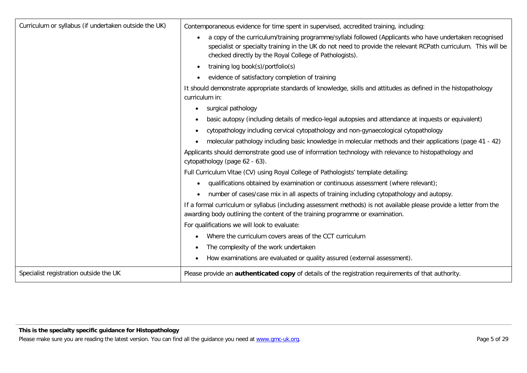| Curriculum or syllabus (if undertaken outside the UK) | Contemporaneous evidence for time spent in supervised, accredited training, including:                                                                                                                                                                                                            |
|-------------------------------------------------------|---------------------------------------------------------------------------------------------------------------------------------------------------------------------------------------------------------------------------------------------------------------------------------------------------|
|                                                       | a copy of the curriculum/training programme/syllabi followed (Applicants who have undertaken recognised<br>$\bullet$<br>specialist or specialty training in the UK do not need to provide the relevant RCPath curriculum. This will be<br>checked directly by the Royal College of Pathologists). |
|                                                       | training log book(s)/portfolio(s)<br>$\bullet$                                                                                                                                                                                                                                                    |
|                                                       | evidence of satisfactory completion of training                                                                                                                                                                                                                                                   |
|                                                       | It should demonstrate appropriate standards of knowledge, skills and attitudes as defined in the histopathology<br>curriculum in:                                                                                                                                                                 |
|                                                       | surgical pathology<br>$\bullet$                                                                                                                                                                                                                                                                   |
|                                                       | basic autopsy (including details of medico-legal autopsies and attendance at inquests or equivalent)                                                                                                                                                                                              |
|                                                       | cytopathology including cervical cytopathology and non-gynaecological cytopathology                                                                                                                                                                                                               |
|                                                       | molecular pathology including basic knowledge in molecular methods and their applications (page 41 - 42)                                                                                                                                                                                          |
|                                                       | Applicants should demonstrate good use of information technology with relevance to histopathology and<br>cytopathology (page 62 - 63).                                                                                                                                                            |
|                                                       | Full Curriculum Vitae (CV) using Royal College of Pathologists' template detailing:                                                                                                                                                                                                               |
|                                                       | qualifications obtained by examination or continuous assessment (where relevant);                                                                                                                                                                                                                 |
|                                                       | number of cases/case mix in all aspects of training including cytopathology and autopsy.<br>$\bullet$                                                                                                                                                                                             |
|                                                       | If a formal curriculum or syllabus (including assessment methods) is not available please provide a letter from the<br>awarding body outlining the content of the training programme or examination.                                                                                              |
|                                                       | For qualifications we will look to evaluate:                                                                                                                                                                                                                                                      |
|                                                       | Where the curriculum covers areas of the CCT curriculum                                                                                                                                                                                                                                           |
|                                                       | The complexity of the work undertaken                                                                                                                                                                                                                                                             |
|                                                       | How examinations are evaluated or quality assured (external assessment).                                                                                                                                                                                                                          |
| Specialist registration outside the UK                | Please provide an <b>authenticated copy</b> of details of the registration requirements of that authority.                                                                                                                                                                                        |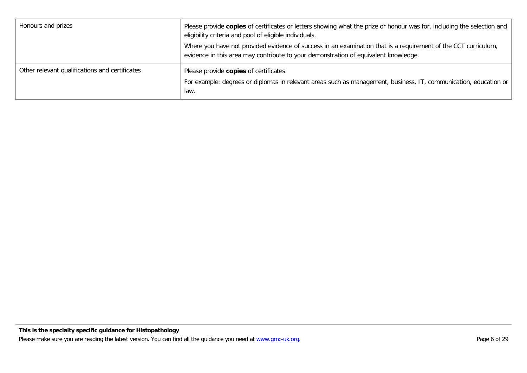| Honours and prizes                             | Please provide copies of certificates or letters showing what the prize or honour was for, including the selection and<br>eligibility criteria and pool of eligible individuals.<br>Where you have not provided evidence of success in an examination that is a requirement of the CCT curriculum,<br>evidence in this area may contribute to your demonstration of equivalent knowledge. |
|------------------------------------------------|-------------------------------------------------------------------------------------------------------------------------------------------------------------------------------------------------------------------------------------------------------------------------------------------------------------------------------------------------------------------------------------------|
| Other relevant qualifications and certificates | Please provide copies of certificates.<br>For example: degrees or diplomas in relevant areas such as management, business, IT, communication, education or<br>law.                                                                                                                                                                                                                        |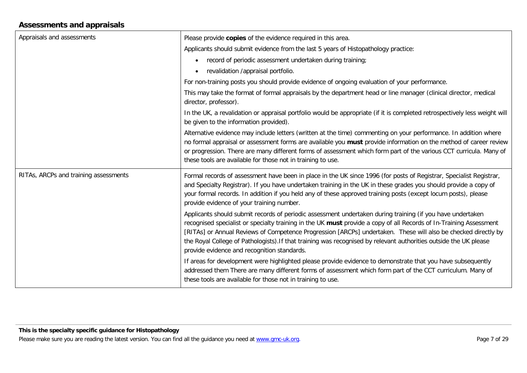### **Assessments and appraisals**

| Appraisals and assessments            | Please provide copies of the evidence required in this area.                                                                                                                                                                                                                                                                                                                                                                                                                                                           |
|---------------------------------------|------------------------------------------------------------------------------------------------------------------------------------------------------------------------------------------------------------------------------------------------------------------------------------------------------------------------------------------------------------------------------------------------------------------------------------------------------------------------------------------------------------------------|
|                                       | Applicants should submit evidence from the last 5 years of Histopathology practice:                                                                                                                                                                                                                                                                                                                                                                                                                                    |
|                                       | record of periodic assessment undertaken during training;<br>$\bullet$                                                                                                                                                                                                                                                                                                                                                                                                                                                 |
|                                       | revalidation /appraisal portfolio.                                                                                                                                                                                                                                                                                                                                                                                                                                                                                     |
|                                       | For non-training posts you should provide evidence of ongoing evaluation of your performance.                                                                                                                                                                                                                                                                                                                                                                                                                          |
|                                       | This may take the format of formal appraisals by the department head or line manager (clinical director, medical<br>director, professor).                                                                                                                                                                                                                                                                                                                                                                              |
|                                       | In the UK, a revalidation or appraisal portfolio would be appropriate (if it is completed retrospectively less weight will<br>be given to the information provided).                                                                                                                                                                                                                                                                                                                                                   |
|                                       | Alternative evidence may include letters (written at the time) commenting on your performance. In addition where<br>no formal appraisal or assessment forms are available you must provide information on the method of career review<br>or progression. There are many different forms of assessment which form part of the various CCT curricula. Many of<br>these tools are available for those not in training to use.                                                                                             |
| RITAs, ARCPs and training assessments | Formal records of assessment have been in place in the UK since 1996 (for posts of Registrar, Specialist Registrar,<br>and Specialty Registrar). If you have undertaken training in the UK in these grades you should provide a copy of<br>your formal records. In addition if you held any of these approved training posts (except locum posts), please<br>provide evidence of your training number.                                                                                                                 |
|                                       | Applicants should submit records of periodic assessment undertaken during training (if you have undertaken<br>recognised specialist or specialty training in the UK must provide a copy of all Records of In-Training Assessment<br>[RITAs] or Annual Reviews of Competence Progression [ARCPs] undertaken. These will also be checked directly by<br>the Royal College of Pathologists). If that training was recognised by relevant authorities outside the UK please<br>provide evidence and recognition standards. |
|                                       | If areas for development were highlighted please provide evidence to demonstrate that you have subsequently<br>addressed them There are many different forms of assessment which form part of the CCT curriculum. Many of<br>these tools are available for those not in training to use.                                                                                                                                                                                                                               |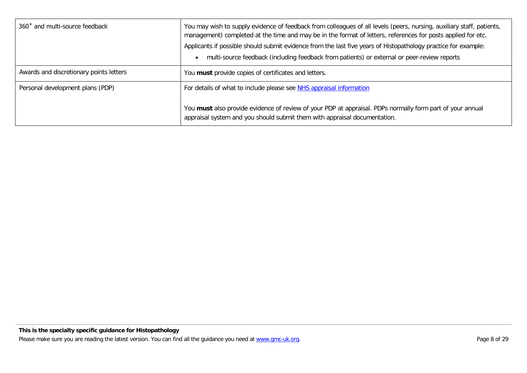| 360° and multi-source feedback          | You may wish to supply evidence of feedback from colleagues of all levels (peers, nursing, auxiliary staff, patients,<br>management) completed at the time and may be in the format of letters, references for posts applied for etc.<br>Applicants if possible should submit evidence from the last five years of Histopathology practice for example:<br>multi-source feedback (including feedback from patients) or external or peer-review reports |
|-----------------------------------------|--------------------------------------------------------------------------------------------------------------------------------------------------------------------------------------------------------------------------------------------------------------------------------------------------------------------------------------------------------------------------------------------------------------------------------------------------------|
| Awards and discretionary points letters | You must provide copies of certificates and letters.                                                                                                                                                                                                                                                                                                                                                                                                   |
| Personal development plans (PDP)        | For details of what to include please see NHS appraisal information                                                                                                                                                                                                                                                                                                                                                                                    |
|                                         | You must also provide evidence of review of your PDP at appraisal. PDPs normally form part of your annual<br>appraisal system and you should submit them with appraisal documentation.                                                                                                                                                                                                                                                                 |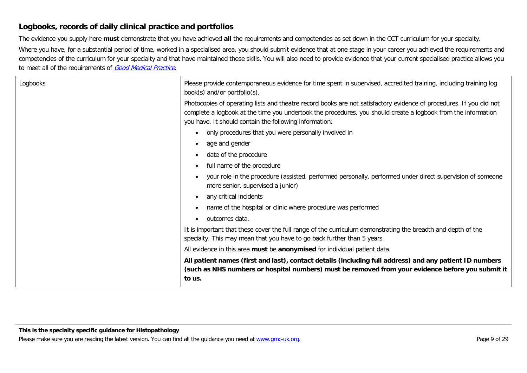### **Logbooks, records of daily clinical practice and portfolios**

The evidence you supply here **must** demonstrate that you have achieved **all** the requirements and competencies as set down in the CCT curriculum for your specialty.

Where you have, for a substantial period of time, worked in a specialised area, you should submit evidence that at one stage in your career you achieved the requirements and competencies of the curriculum for your specialty and that have maintained these skills. You will also need to provide evidence that your current specialised practice allows you to meet all of the requirements of [Good Medical Practice](http://www.gmc-uk.org/guidance/good_medical_practice.asp).

| Logbooks | Please provide contemporaneous evidence for time spent in supervised, accredited training, including training log<br>book(s) and/or portfolio(s).                                                                                                                                              |
|----------|------------------------------------------------------------------------------------------------------------------------------------------------------------------------------------------------------------------------------------------------------------------------------------------------|
|          | Photocopies of operating lists and theatre record books are not satisfactory evidence of procedures. If you did not<br>complete a logbook at the time you undertook the procedures, you should create a logbook from the information<br>you have. It should contain the following information: |
|          | only procedures that you were personally involved in<br>$\bullet$                                                                                                                                                                                                                              |
|          | age and gender<br>$\bullet$                                                                                                                                                                                                                                                                    |
|          | date of the procedure<br>$\bullet$                                                                                                                                                                                                                                                             |
|          | full name of the procedure<br>$\bullet$                                                                                                                                                                                                                                                        |
|          | your role in the procedure (assisted, performed personally, performed under direct supervision of someone<br>more senior, supervised a junior)                                                                                                                                                 |
|          | any critical incidents<br>$\bullet$                                                                                                                                                                                                                                                            |
|          | name of the hospital or clinic where procedure was performed<br>$\bullet$                                                                                                                                                                                                                      |
|          | outcomes data.<br>$\bullet$                                                                                                                                                                                                                                                                    |
|          | It is important that these cover the full range of the curriculum demonstrating the breadth and depth of the<br>specialty. This may mean that you have to go back further than 5 years.                                                                                                        |
|          | All evidence in this area must be anonymised for individual patient data.                                                                                                                                                                                                                      |
|          | All patient names (first and last), contact details (including full address) and any patient ID numbers<br>(such as NHS numbers or hospital numbers) must be removed from your evidence before you submit it<br>to us.                                                                         |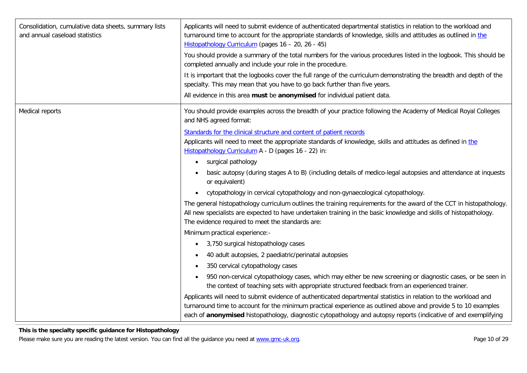| Consolidation, cumulative data sheets, summary lists<br>and annual caseload statistics | Applicants will need to submit evidence of authenticated departmental statistics in relation to the workload and<br>turnaround time to account for the appropriate standards of knowledge, skills and attitudes as outlined in the<br>Histopathology Curriculum (pages 16 - 20, 26 - 45)<br>You should provide a summary of the total numbers for the various procedures listed in the logbook. This should be<br>completed annually and include your role in the procedure.<br>It is important that the logbooks cover the full range of the curriculum demonstrating the breadth and depth of the |
|----------------------------------------------------------------------------------------|-----------------------------------------------------------------------------------------------------------------------------------------------------------------------------------------------------------------------------------------------------------------------------------------------------------------------------------------------------------------------------------------------------------------------------------------------------------------------------------------------------------------------------------------------------------------------------------------------------|
|                                                                                        | specialty. This may mean that you have to go back further than five years.<br>All evidence in this area must be anonymised for individual patient data.                                                                                                                                                                                                                                                                                                                                                                                                                                             |
| Medical reports                                                                        | You should provide examples across the breadth of your practice following the Academy of Medical Royal Colleges<br>and NHS agreed format:                                                                                                                                                                                                                                                                                                                                                                                                                                                           |
|                                                                                        | Standards for the clinical structure and content of patient records<br>Applicants will need to meet the appropriate standards of knowledge, skills and attitudes as defined in the<br>Histopathology Curriculum A - D (pages 16 - 22) in:<br>surgical pathology<br>$\bullet$                                                                                                                                                                                                                                                                                                                        |
|                                                                                        | basic autopsy (during stages A to B) (including details of medico-legal autopsies and attendance at inquests<br>or equivalent)                                                                                                                                                                                                                                                                                                                                                                                                                                                                      |
|                                                                                        | cytopathology in cervical cytopathology and non-gynaecological cytopathology.<br>$\bullet$                                                                                                                                                                                                                                                                                                                                                                                                                                                                                                          |
|                                                                                        | The general histopathology curriculum outlines the training requirements for the award of the CCT in histopathology.<br>All new specialists are expected to have undertaken training in the basic knowledge and skills of histopathology.<br>The evidence required to meet the standards are:                                                                                                                                                                                                                                                                                                       |
|                                                                                        | Minimum practical experience:-                                                                                                                                                                                                                                                                                                                                                                                                                                                                                                                                                                      |
|                                                                                        | 3,750 surgical histopathology cases<br>$\bullet$                                                                                                                                                                                                                                                                                                                                                                                                                                                                                                                                                    |
|                                                                                        | 40 adult autopsies, 2 paediatric/perinatal autopsies<br>$\bullet$                                                                                                                                                                                                                                                                                                                                                                                                                                                                                                                                   |
|                                                                                        | 350 cervical cytopathology cases                                                                                                                                                                                                                                                                                                                                                                                                                                                                                                                                                                    |
|                                                                                        | 950 non-cervical cytopathology cases, which may either be new screening or diagnostic cases, or be seen in<br>$\bullet$<br>the context of teaching sets with appropriate structured feedback from an experienced trainer.                                                                                                                                                                                                                                                                                                                                                                           |
|                                                                                        | Applicants will need to submit evidence of authenticated departmental statistics in relation to the workload and<br>turnaround time to account for the minimum practical experience as outlined above and provide 5 to 10 examples<br>each of anonymised histopathology, diagnostic cytopathology and autopsy reports (indicative of and exemplifying                                                                                                                                                                                                                                               |

#### **This is the specialty specific guidance for Histopathology**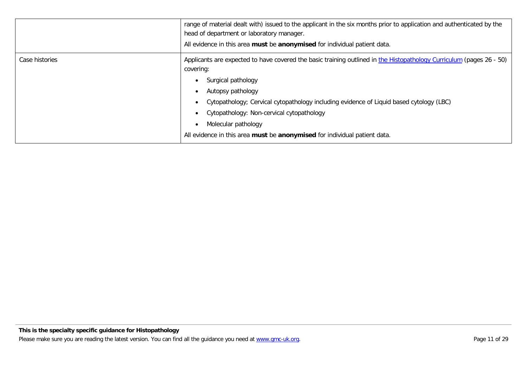|                | range of material dealt with) issued to the applicant in the six months prior to application and authenticated by the<br>head of department or laboratory manager.<br>All evidence in this area must be anonymised for individual patient data.                                                                                                                                                                          |
|----------------|--------------------------------------------------------------------------------------------------------------------------------------------------------------------------------------------------------------------------------------------------------------------------------------------------------------------------------------------------------------------------------------------------------------------------|
| Case histories | Applicants are expected to have covered the basic training outlined in the Histopathology Curriculum (pages 26 - 50)<br>covering:<br>Surgical pathology<br>Autopsy pathology<br>Cytopathology; Cervical cytopathology including evidence of Liquid based cytology (LBC)<br>Cytopathology: Non-cervical cytopathology<br>Molecular pathology<br>All evidence in this area must be anonymised for individual patient data. |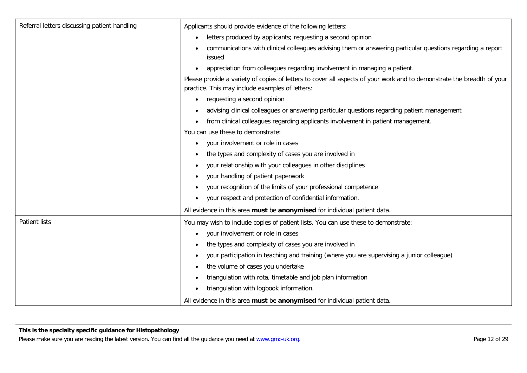| Referral letters discussing patient handling | Applicants should provide evidence of the following letters:                                                                                                              |  |
|----------------------------------------------|---------------------------------------------------------------------------------------------------------------------------------------------------------------------------|--|
|                                              | letters produced by applicants; requesting a second opinion<br>$\bullet$                                                                                                  |  |
|                                              | communications with clinical colleagues advising them or answering particular questions regarding a report<br>issued                                                      |  |
|                                              | appreciation from colleagues regarding involvement in managing a patient.                                                                                                 |  |
|                                              | Please provide a variety of copies of letters to cover all aspects of your work and to demonstrate the breadth of your<br>practice. This may include examples of letters: |  |
|                                              | requesting a second opinion                                                                                                                                               |  |
|                                              | advising clinical colleagues or answering particular questions regarding patient management                                                                               |  |
|                                              | from clinical colleagues regarding applicants involvement in patient management.<br>$\bullet$                                                                             |  |
|                                              | You can use these to demonstrate:                                                                                                                                         |  |
|                                              | your involvement or role in cases<br>$\bullet$                                                                                                                            |  |
|                                              | the types and complexity of cases you are involved in                                                                                                                     |  |
|                                              | your relationship with your colleagues in other disciplines<br>$\bullet$                                                                                                  |  |
|                                              | your handling of patient paperwork<br>٠                                                                                                                                   |  |
|                                              | your recognition of the limits of your professional competence                                                                                                            |  |
|                                              | your respect and protection of confidential information.                                                                                                                  |  |
|                                              | All evidence in this area must be anonymised for individual patient data.                                                                                                 |  |
| <b>Patient lists</b>                         | You may wish to include copies of patient lists. You can use these to demonstrate:                                                                                        |  |
|                                              | your involvement or role in cases<br>٠                                                                                                                                    |  |
|                                              | the types and complexity of cases you are involved in                                                                                                                     |  |
|                                              | your participation in teaching and training (where you are supervising a junior colleague)                                                                                |  |
|                                              | the volume of cases you undertake                                                                                                                                         |  |
|                                              | triangulation with rota, timetable and job plan information                                                                                                               |  |
|                                              | triangulation with logbook information.<br>$\bullet$                                                                                                                      |  |
|                                              | All evidence in this area must be anonymised for individual patient data.                                                                                                 |  |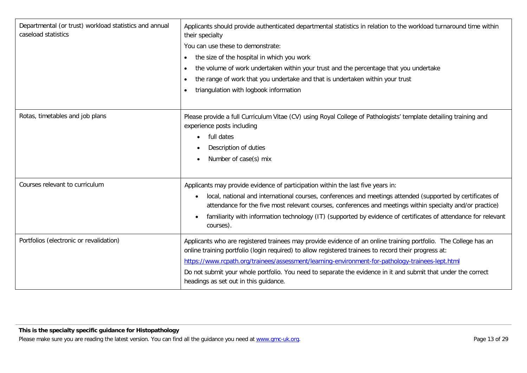| Departmental (or trust) workload statistics and annual<br>caseload statistics | Applicants should provide authenticated departmental statistics in relation to the workload turnaround time within<br>their specialty<br>You can use these to demonstrate:<br>the size of the hospital in which you work<br>$\bullet$<br>the volume of work undertaken within your trust and the percentage that you undertake<br>$\bullet$<br>the range of work that you undertake and that is undertaken within your trust<br>$\bullet$<br>triangulation with logbook information<br>$\bullet$ |
|-------------------------------------------------------------------------------|--------------------------------------------------------------------------------------------------------------------------------------------------------------------------------------------------------------------------------------------------------------------------------------------------------------------------------------------------------------------------------------------------------------------------------------------------------------------------------------------------|
| Rotas, timetables and job plans                                               | Please provide a full Curriculum Vitae (CV) using Royal College of Pathologists' template detailing training and<br>experience posts including<br>full dates<br>$\bullet$<br>Description of duties<br>Number of case(s) mix<br>$\bullet$                                                                                                                                                                                                                                                         |
| Courses relevant to curriculum                                                | Applicants may provide evidence of participation within the last five years in:<br>local, national and international courses, conferences and meetings attended (supported by certificates of<br>attendance for the five most relevant courses, conferences and meetings within specialty and/or practice)<br>familiarity with information technology (IT) (supported by evidence of certificates of attendance for relevant<br>courses).                                                        |
| Portfolios (electronic or revalidation)                                       | Applicants who are registered trainees may provide evidence of an online training portfolio. The College has an<br>online training portfolio (login required) to allow registered trainees to record their progress at:<br>https://www.rcpath.org/trainees/assessment/learning-environment-for-pathology-trainees-lept.html<br>Do not submit your whole portfolio. You need to separate the evidence in it and submit that under the correct<br>headings as set out in this guidance.            |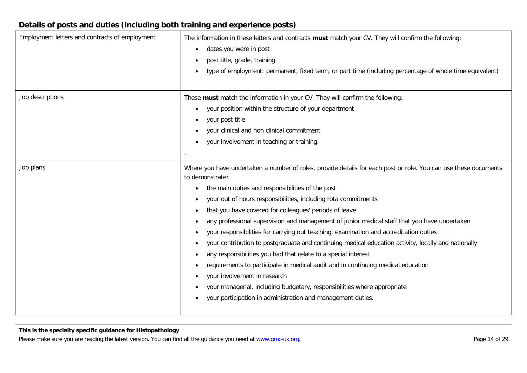### **Details of posts and duties (including both training and experience posts)**

| Employment letters and contracts of employment | The information in these letters and contracts must match your CV. They will confirm the following:<br>dates you were in post<br>post title, grade, training<br>type of employment: permanent, fixed term, or part time (including percentage of whole time equivalent)<br>٠                                                                                                                                                                                                                                                                                                                                                                                                                                                                                                                                                                                                                                                                                                                    |
|------------------------------------------------|-------------------------------------------------------------------------------------------------------------------------------------------------------------------------------------------------------------------------------------------------------------------------------------------------------------------------------------------------------------------------------------------------------------------------------------------------------------------------------------------------------------------------------------------------------------------------------------------------------------------------------------------------------------------------------------------------------------------------------------------------------------------------------------------------------------------------------------------------------------------------------------------------------------------------------------------------------------------------------------------------|
| Job descriptions                               | These must match the information in your CV. They will confirm the following:<br>your position within the structure of your department<br>your post title<br>your clinical and non clinical commitment<br>your involvement in teaching or training.                                                                                                                                                                                                                                                                                                                                                                                                                                                                                                                                                                                                                                                                                                                                             |
| Job plans                                      | Where you have undertaken a number of roles, provide details for each post or role. You can use these documents<br>to demonstrate:<br>the main duties and responsibilities of the post<br>$\bullet$<br>your out of hours responsibilities, including rota commitments<br>that you have covered for colleagues' periods of leave<br>any professional supervision and management of junior medical staff that you have undertaken<br>your responsibilities for carrying out teaching, examination and accreditation duties<br>your contribution to postgraduate and continuing medical education activity, locally and nationally<br>$\bullet$<br>any responsibilities you had that relate to a special interest<br>٠<br>requirements to participate in medical audit and in continuing medical education<br>your involvement in research<br>$\bullet$<br>your managerial, including budgetary, responsibilities where appropriate<br>your participation in administration and management duties. |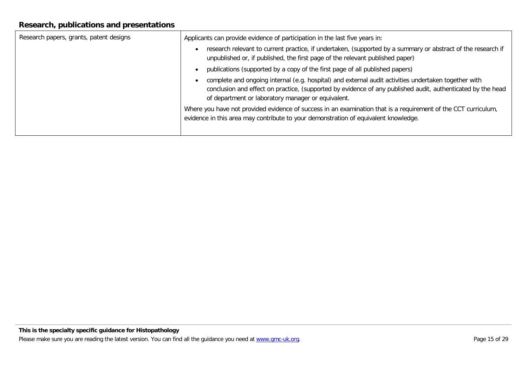### **Research, publications and presentations**

| Research papers, grants, patent designs | Applicants can provide evidence of participation in the last five years in:                                                                                                                                                                                               |
|-----------------------------------------|---------------------------------------------------------------------------------------------------------------------------------------------------------------------------------------------------------------------------------------------------------------------------|
|                                         | research relevant to current practice, if undertaken, (supported by a summary or abstract of the research if<br>unpublished or, if published, the first page of the relevant published paper)                                                                             |
|                                         | publications (supported by a copy of the first page of all published papers)                                                                                                                                                                                              |
|                                         | complete and ongoing internal (e.g. hospital) and external audit activities undertaken together with<br>conclusion and effect on practice, (supported by evidence of any published audit, authenticated by the head<br>of department or laboratory manager or equivalent. |
|                                         | Where you have not provided evidence of success in an examination that is a requirement of the CCT curriculum,<br>evidence in this area may contribute to your demonstration of equivalent knowledge.                                                                     |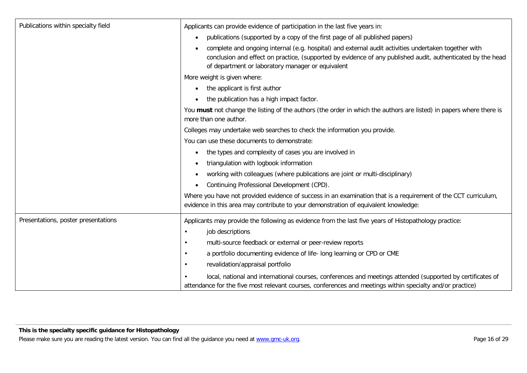| Publications within specialty field | Applicants can provide evidence of participation in the last five years in:                                                                                                                                                                                                           |
|-------------------------------------|---------------------------------------------------------------------------------------------------------------------------------------------------------------------------------------------------------------------------------------------------------------------------------------|
|                                     | publications (supported by a copy of the first page of all published papers)<br>$\bullet$                                                                                                                                                                                             |
|                                     | complete and ongoing internal (e.g. hospital) and external audit activities undertaken together with<br>$\bullet$<br>conclusion and effect on practice, (supported by evidence of any published audit, authenticated by the head<br>of department or laboratory manager or equivalent |
|                                     | More weight is given where:                                                                                                                                                                                                                                                           |
|                                     | the applicant is first author<br>$\bullet$                                                                                                                                                                                                                                            |
|                                     | the publication has a high impact factor.<br>$\bullet$                                                                                                                                                                                                                                |
|                                     | You must not change the listing of the authors (the order in which the authors are listed) in papers where there is<br>more than one author.                                                                                                                                          |
|                                     | Colleges may undertake web searches to check the information you provide.                                                                                                                                                                                                             |
|                                     | You can use these documents to demonstrate:                                                                                                                                                                                                                                           |
|                                     | the types and complexity of cases you are involved in<br>$\bullet$                                                                                                                                                                                                                    |
|                                     | triangulation with logbook information                                                                                                                                                                                                                                                |
|                                     | working with colleagues (where publications are joint or multi-disciplinary)                                                                                                                                                                                                          |
|                                     | Continuing Professional Development (CPD).<br>$\bullet$                                                                                                                                                                                                                               |
|                                     | Where you have not provided evidence of success in an examination that is a requirement of the CCT curriculum,<br>evidence in this area may contribute to your demonstration of equivalent knowledge:                                                                                 |
| Presentations, poster presentations | Applicants may provide the following as evidence from the last five years of Histopathology practice:                                                                                                                                                                                 |
|                                     | job descriptions                                                                                                                                                                                                                                                                      |
|                                     | multi-source feedback or external or peer-review reports<br>$\bullet$                                                                                                                                                                                                                 |
|                                     | a portfolio documenting evidence of life- long learning or CPD or CME                                                                                                                                                                                                                 |
|                                     | revalidation/appraisal portfolio                                                                                                                                                                                                                                                      |
|                                     | local, national and international courses, conferences and meetings attended (supported by certificates of<br>attendance for the five most relevant courses, conferences and meetings within specialty and/or practice)                                                               |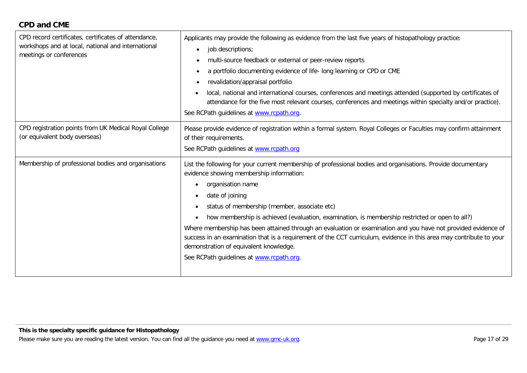### **CPD and CME**

| CPD record certificates, certificates of attendance,<br>workshops and at local, national and international<br>meetings or conferences | Applicants may provide the following as evidence from the last five years of histopathology practice:<br>job descriptions;<br>$\bullet$<br>multi-source feedback or external or peer-review reports<br>٠<br>a portfolio documenting evidence of life- long learning or CPD or CME<br>$\bullet$<br>revalidation/appraisal portfolio<br>٠<br>local, national and international courses, conferences and meetings attended (supported by certificates of<br>attendance for the five most relevant courses, conferences and meetings within specialty and/or practice).<br>See RCPath guidelines at www.rcpath.org.                                                                                                         |
|---------------------------------------------------------------------------------------------------------------------------------------|-------------------------------------------------------------------------------------------------------------------------------------------------------------------------------------------------------------------------------------------------------------------------------------------------------------------------------------------------------------------------------------------------------------------------------------------------------------------------------------------------------------------------------------------------------------------------------------------------------------------------------------------------------------------------------------------------------------------------|
| CPD registration points from UK Medical Royal College<br>(or equivalent body overseas)                                                | Please provide evidence of registration within a formal system. Royal Colleges or Faculties may confirm attainment<br>of their requirements.<br>See RCPath guidelines at www.rcpath.org                                                                                                                                                                                                                                                                                                                                                                                                                                                                                                                                 |
| Membership of professional bodies and organisations                                                                                   | List the following for your current membership of professional bodies and organisations. Provide documentary<br>evidence showing membership information:<br>organisation name<br>$\bullet$<br>date of joining<br>$\bullet$<br>status of membership (member, associate etc)<br>$\bullet$<br>how membership is achieved (evaluation, examination, is membership restricted or open to all?)<br>Where membership has been attained through an evaluation or examination and you have not provided evidence of<br>success in an examination that is a requirement of the CCT curriculum, evidence in this area may contribute to your<br>demonstration of equivalent knowledge.<br>See RCPath guidelines at www.rcpath.org. |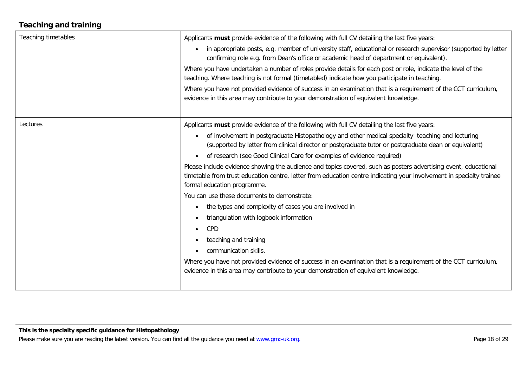# **Teaching and training**

| <b>Teaching timetables</b> | Applicants must provide evidence of the following with full CV detailing the last five years:                                                                                                                                                                          |
|----------------------------|------------------------------------------------------------------------------------------------------------------------------------------------------------------------------------------------------------------------------------------------------------------------|
|                            | in appropriate posts, e.g. member of university staff, educational or research supervisor (supported by letter<br>$\bullet$<br>confirming role e.g. from Dean's office or academic head of department or equivalent).                                                  |
|                            | Where you have undertaken a number of roles provide details for each post or role, indicate the level of the<br>teaching. Where teaching is not formal (timetabled) indicate how you participate in teaching.                                                          |
|                            | Where you have not provided evidence of success in an examination that is a requirement of the CCT curriculum,<br>evidence in this area may contribute to your demonstration of equivalent knowledge.                                                                  |
| Lectures                   | Applicants must provide evidence of the following with full CV detailing the last five years:                                                                                                                                                                          |
|                            | of involvement in postgraduate Histopathology and other medical specialty teaching and lecturing<br>$\bullet$<br>(supported by letter from clinical director or postgraduate tutor or postgraduate dean or equivalent)                                                 |
|                            | of research (see Good Clinical Care for examples of evidence required)<br>$\bullet$                                                                                                                                                                                    |
|                            | Please include evidence showing the audience and topics covered, such as posters advertising event, educational<br>timetable from trust education centre, letter from education centre indicating your involvement in specialty trainee<br>formal education programme. |
|                            | You can use these documents to demonstrate:                                                                                                                                                                                                                            |
|                            | the types and complexity of cases you are involved in<br>$\bullet$                                                                                                                                                                                                     |
|                            | triangulation with logbook information<br>$\bullet$                                                                                                                                                                                                                    |
|                            | CPD<br>$\bullet$                                                                                                                                                                                                                                                       |
|                            | teaching and training<br>$\bullet$                                                                                                                                                                                                                                     |
|                            | communication skills.<br>$\bullet$                                                                                                                                                                                                                                     |
|                            | Where you have not provided evidence of success in an examination that is a requirement of the CCT curriculum,<br>evidence in this area may contribute to your demonstration of equivalent knowledge.                                                                  |
|                            |                                                                                                                                                                                                                                                                        |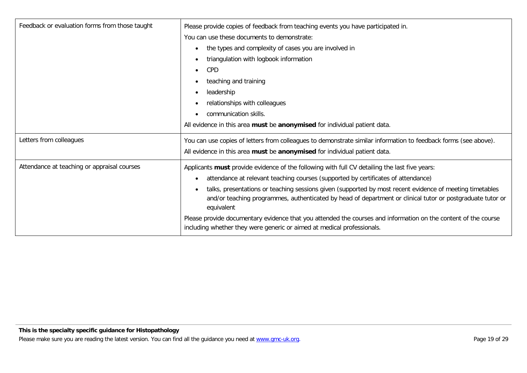| Feedback or evaluation forms from those taught | Please provide copies of feedback from teaching events you have participated in.                                                                                                                                                     |
|------------------------------------------------|--------------------------------------------------------------------------------------------------------------------------------------------------------------------------------------------------------------------------------------|
|                                                | You can use these documents to demonstrate:                                                                                                                                                                                          |
|                                                | the types and complexity of cases you are involved in                                                                                                                                                                                |
|                                                | triangulation with logbook information                                                                                                                                                                                               |
|                                                | CPD                                                                                                                                                                                                                                  |
|                                                | teaching and training                                                                                                                                                                                                                |
|                                                | leadership<br>$\bullet$                                                                                                                                                                                                              |
|                                                | relationships with colleagues                                                                                                                                                                                                        |
|                                                | communication skills.                                                                                                                                                                                                                |
|                                                | All evidence in this area must be anonymised for individual patient data.                                                                                                                                                            |
| Letters from colleagues                        | You can use copies of letters from colleagues to demonstrate similar information to feedback forms (see above).                                                                                                                      |
|                                                | All evidence in this area must be anonymised for individual patient data.                                                                                                                                                            |
| Attendance at teaching or appraisal courses    | Applicants must provide evidence of the following with full CV detailing the last five years:                                                                                                                                        |
|                                                | attendance at relevant teaching courses (supported by certificates of attendance)                                                                                                                                                    |
|                                                | talks, presentations or teaching sessions given (supported by most recent evidence of meeting timetables<br>and/or teaching programmes, authenticated by head of department or clinical tutor or postgraduate tutor or<br>equivalent |
|                                                | Please provide documentary evidence that you attended the courses and information on the content of the course<br>including whether they were generic or aimed at medical professionals.                                             |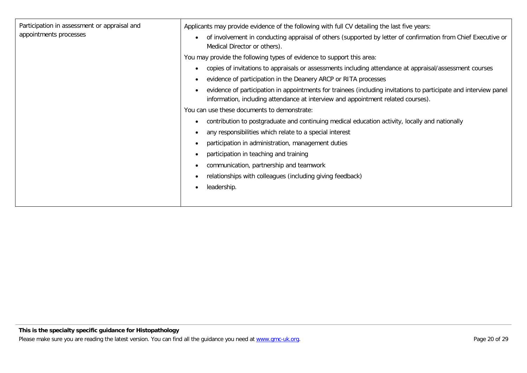| Participation in assessment or appraisal and<br>appointments processes | Applicants may provide evidence of the following with full CV detailing the last five years:                                                                                                         |
|------------------------------------------------------------------------|------------------------------------------------------------------------------------------------------------------------------------------------------------------------------------------------------|
|                                                                        | of involvement in conducting appraisal of others (supported by letter of confirmation from Chief Executive or<br>Medical Director or others).                                                        |
|                                                                        | You may provide the following types of evidence to support this area:                                                                                                                                |
|                                                                        | copies of invitations to appraisals or assessments including attendance at appraisal/assessment courses                                                                                              |
|                                                                        | evidence of participation in the Deanery ARCP or RITA processes                                                                                                                                      |
|                                                                        | evidence of participation in appointments for trainees (including invitations to participate and interview panel<br>information, including attendance at interview and appointment related courses). |
|                                                                        | You can use these documents to demonstrate:                                                                                                                                                          |
|                                                                        | contribution to postgraduate and continuing medical education activity, locally and nationally                                                                                                       |
|                                                                        | any responsibilities which relate to a special interest                                                                                                                                              |
|                                                                        | participation in administration, management duties                                                                                                                                                   |
|                                                                        | participation in teaching and training                                                                                                                                                               |
|                                                                        | communication, partnership and teamwork                                                                                                                                                              |
|                                                                        | relationships with colleagues (including giving feedback)                                                                                                                                            |
|                                                                        | leadership.                                                                                                                                                                                          |
|                                                                        |                                                                                                                                                                                                      |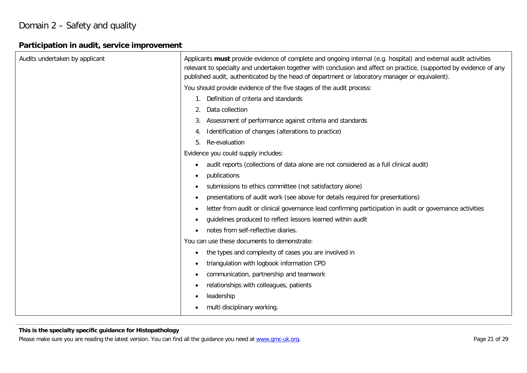# Domain 2 – Safety and quality

# **Participation in audit, service improvement**

| Audits undertaken by applicant | Applicants must provide evidence of complete and ongoing internal (e.g. hospital) and external audit activities<br>relevant to specialty and undertaken together with conclusion and affect on practice, (supported by evidence of any<br>published audit, authenticated by the head of department or laboratory manager or equivalent). |
|--------------------------------|------------------------------------------------------------------------------------------------------------------------------------------------------------------------------------------------------------------------------------------------------------------------------------------------------------------------------------------|
|                                | You should provide evidence of the five stages of the audit process:                                                                                                                                                                                                                                                                     |
|                                | Definition of criteria and standards                                                                                                                                                                                                                                                                                                     |
|                                | Data collection                                                                                                                                                                                                                                                                                                                          |
|                                | Assessment of performance against criteria and standards<br>3.                                                                                                                                                                                                                                                                           |
|                                | Identification of changes (alterations to practice)<br>4.                                                                                                                                                                                                                                                                                |
|                                | Re-evaluation<br>5.                                                                                                                                                                                                                                                                                                                      |
|                                | Evidence you could supply includes:                                                                                                                                                                                                                                                                                                      |
|                                | audit reports (collections of data alone are not considered as a full clinical audit)<br>$\bullet$                                                                                                                                                                                                                                       |
|                                | publications<br>$\bullet$                                                                                                                                                                                                                                                                                                                |
|                                | submissions to ethics committee (not satisfactory alone)                                                                                                                                                                                                                                                                                 |
|                                | presentations of audit work (see above for details required for presentations)<br>$\bullet$                                                                                                                                                                                                                                              |
|                                | letter from audit or clinical governance lead confirming participation in audit or governance activities<br>$\bullet$                                                                                                                                                                                                                    |
|                                | guidelines produced to reflect lessons learned within audit<br>$\bullet$                                                                                                                                                                                                                                                                 |
|                                | notes from self-reflective diaries.<br>$\bullet$                                                                                                                                                                                                                                                                                         |
|                                | You can use these documents to demonstrate:                                                                                                                                                                                                                                                                                              |
|                                | the types and complexity of cases you are involved in<br>$\bullet$                                                                                                                                                                                                                                                                       |
|                                | triangulation with logbook information CPD<br>$\bullet$                                                                                                                                                                                                                                                                                  |
|                                | communication, partnership and teamwork<br>$\bullet$                                                                                                                                                                                                                                                                                     |
|                                | relationships with colleagues, patients<br>$\bullet$                                                                                                                                                                                                                                                                                     |
|                                | leadership                                                                                                                                                                                                                                                                                                                               |
|                                | multi disciplinary working.                                                                                                                                                                                                                                                                                                              |

#### **This is the specialty specific guidance for Histopathology**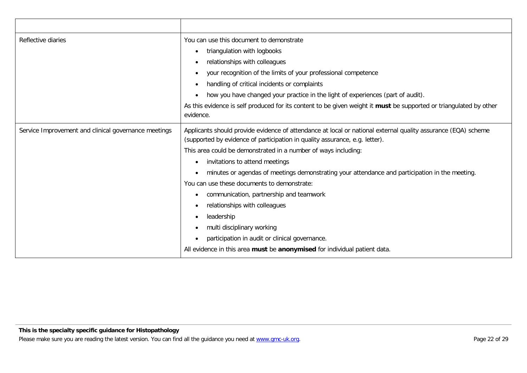| Reflective diaries                                   | You can use this document to demonstrate                                                                                                                                                     |
|------------------------------------------------------|----------------------------------------------------------------------------------------------------------------------------------------------------------------------------------------------|
|                                                      | triangulation with logbooks                                                                                                                                                                  |
|                                                      | relationships with colleagues                                                                                                                                                                |
|                                                      | your recognition of the limits of your professional competence                                                                                                                               |
|                                                      | handling of critical incidents or complaints                                                                                                                                                 |
|                                                      | how you have changed your practice in the light of experiences (part of audit).                                                                                                              |
|                                                      | As this evidence is self produced for its content to be given weight it must be supported or triangulated by other<br>evidence.                                                              |
| Service Improvement and clinical governance meetings | Applicants should provide evidence of attendance at local or national external quality assurance (EQA) scheme<br>(supported by evidence of participation in quality assurance, e.g. letter). |
|                                                      | This area could be demonstrated in a number of ways including:                                                                                                                               |
|                                                      | invitations to attend meetings                                                                                                                                                               |
|                                                      | minutes or agendas of meetings demonstrating your attendance and participation in the meeting.                                                                                               |
|                                                      | You can use these documents to demonstrate:                                                                                                                                                  |
|                                                      | communication, partnership and teamwork                                                                                                                                                      |
|                                                      | relationships with colleagues                                                                                                                                                                |
|                                                      | leadership                                                                                                                                                                                   |
|                                                      | multi disciplinary working                                                                                                                                                                   |
|                                                      | participation in audit or clinical governance.                                                                                                                                               |
|                                                      | All evidence in this area must be anonymised for individual patient data.                                                                                                                    |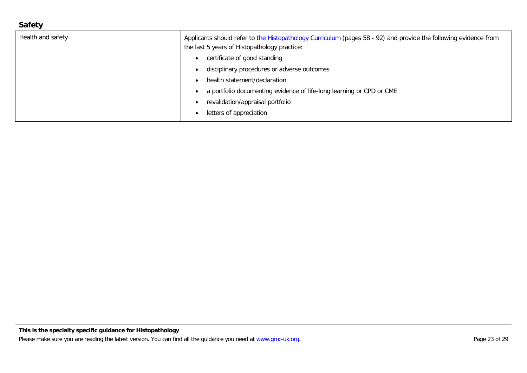### **Safety**

| Health and safety | Applicants should refer to the Histopathology Curriculum (pages 58 - 92) and provide the following evidence from |
|-------------------|------------------------------------------------------------------------------------------------------------------|
|                   | the last 5 years of Histopathology practice:                                                                     |
|                   | certificate of good standing                                                                                     |
|                   | disciplinary procedures or adverse outcomes                                                                      |
|                   | health statement/declaration                                                                                     |
|                   | a portfolio documenting evidence of life-long learning or CPD or CME                                             |
|                   | revalidation/appraisal portfolio                                                                                 |
|                   | letters of appreciation                                                                                          |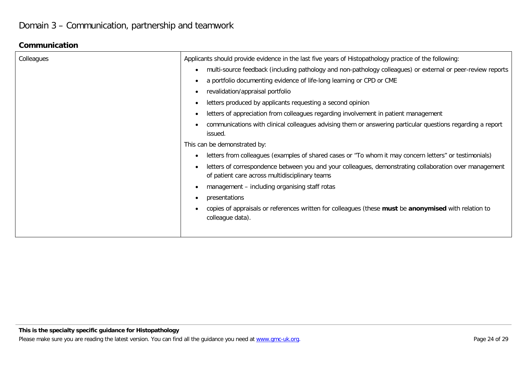### **Communication**

| Colleagues | Applicants should provide evidence in the last five years of Histopathology practice of the following:                                                   |
|------------|----------------------------------------------------------------------------------------------------------------------------------------------------------|
|            | multi-source feedback (including pathology and non-pathology colleagues) or external or peer-review reports<br>$\bullet$                                 |
|            | a portfolio documenting evidence of life-long learning or CPD or CME                                                                                     |
|            | revalidation/appraisal portfolio                                                                                                                         |
|            | letters produced by applicants requesting a second opinion                                                                                               |
|            | letters of appreciation from colleagues regarding involvement in patient management                                                                      |
|            | communications with clinical colleagues advising them or answering particular questions regarding a report<br>issued.                                    |
|            | This can be demonstrated by:                                                                                                                             |
|            | letters from colleagues (examples of shared cases or "To whom it may concern letters" or testimonials)                                                   |
|            | letters of correspondence between you and your colleagues, demonstrating collaboration over management<br>of patient care across multidisciplinary teams |
|            | management - including organising staff rotas                                                                                                            |
|            | presentations                                                                                                                                            |
|            | copies of appraisals or references written for colleagues (these must be anonymised with relation to<br>colleague data).                                 |
|            |                                                                                                                                                          |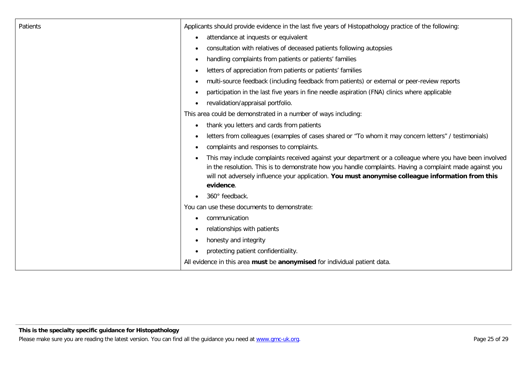| Patients | Applicants should provide evidence in the last five years of Histopathology practice of the following:                                                                                                                                                                                                                                 |
|----------|----------------------------------------------------------------------------------------------------------------------------------------------------------------------------------------------------------------------------------------------------------------------------------------------------------------------------------------|
|          | attendance at inquests or equivalent<br>$\bullet$                                                                                                                                                                                                                                                                                      |
|          | consultation with relatives of deceased patients following autopsies<br>$\bullet$                                                                                                                                                                                                                                                      |
|          | handling complaints from patients or patients' families<br>$\bullet$                                                                                                                                                                                                                                                                   |
|          | letters of appreciation from patients or patients' families<br>$\bullet$                                                                                                                                                                                                                                                               |
|          | multi-source feedback (including feedback from patients) or external or peer-review reports<br>$\bullet$                                                                                                                                                                                                                               |
|          | participation in the last five years in fine needle aspiration (FNA) clinics where applicable<br>$\bullet$                                                                                                                                                                                                                             |
|          | revalidation/appraisal portfolio.<br>$\bullet$                                                                                                                                                                                                                                                                                         |
|          | This area could be demonstrated in a number of ways including:                                                                                                                                                                                                                                                                         |
|          | thank you letters and cards from patients<br>$\bullet$                                                                                                                                                                                                                                                                                 |
|          | letters from colleagues (examples of cases shared or "To whom it may concern letters" / testimonials)<br>$\bullet$                                                                                                                                                                                                                     |
|          | complaints and responses to complaints.<br>$\bullet$                                                                                                                                                                                                                                                                                   |
|          | This may include complaints received against your department or a colleague where you have been involved<br>in the resolution. This is to demonstrate how you handle complaints. Having a complaint made against you<br>will not adversely influence your application. You must anonymise colleague information from this<br>evidence. |
|          | 360° feedback.                                                                                                                                                                                                                                                                                                                         |
|          | You can use these documents to demonstrate:                                                                                                                                                                                                                                                                                            |
|          | communication<br>$\bullet$                                                                                                                                                                                                                                                                                                             |
|          | relationships with patients                                                                                                                                                                                                                                                                                                            |
|          | honesty and integrity<br>$\bullet$                                                                                                                                                                                                                                                                                                     |
|          | protecting patient confidentiality.<br>$\bullet$                                                                                                                                                                                                                                                                                       |
|          | All evidence in this area must be anonymised for individual patient data.                                                                                                                                                                                                                                                              |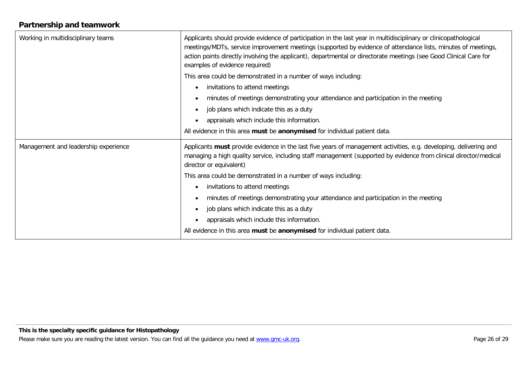### **Partnership and teamwork**

| Working in multidisciplinary teams   | Applicants should provide evidence of participation in the last year in multidisciplinary or clinicopathological<br>meetings/MDTs, service improvement meetings (supported by evidence of attendance lists, minutes of meetings,<br>action points directly involving the applicant), departmental or directorate meetings (see Good Clinical Care for<br>examples of evidence required) |
|--------------------------------------|-----------------------------------------------------------------------------------------------------------------------------------------------------------------------------------------------------------------------------------------------------------------------------------------------------------------------------------------------------------------------------------------|
|                                      | This area could be demonstrated in a number of ways including:                                                                                                                                                                                                                                                                                                                          |
|                                      | invitations to attend meetings<br>$\bullet$                                                                                                                                                                                                                                                                                                                                             |
|                                      | minutes of meetings demonstrating your attendance and participation in the meeting<br>$\bullet$                                                                                                                                                                                                                                                                                         |
|                                      | job plans which indicate this as a duty<br>$\bullet$                                                                                                                                                                                                                                                                                                                                    |
|                                      | appraisals which include this information.<br>$\bullet$                                                                                                                                                                                                                                                                                                                                 |
|                                      | All evidence in this area must be anonymised for individual patient data.                                                                                                                                                                                                                                                                                                               |
| Management and leadership experience | Applicants must provide evidence in the last five years of management activities, e.g. developing, delivering and<br>managing a high quality service, including staff management (supported by evidence from clinical director/medical<br>director or equivalent)                                                                                                                       |
|                                      | This area could be demonstrated in a number of ways including:                                                                                                                                                                                                                                                                                                                          |
|                                      | invitations to attend meetings<br>$\bullet$                                                                                                                                                                                                                                                                                                                                             |
|                                      | minutes of meetings demonstrating your attendance and participation in the meeting<br>$\bullet$                                                                                                                                                                                                                                                                                         |
|                                      | job plans which indicate this as a duty<br>$\bullet$                                                                                                                                                                                                                                                                                                                                    |
|                                      | appraisals which include this information.<br>$\bullet$                                                                                                                                                                                                                                                                                                                                 |
|                                      | All evidence in this area must be anonymised for individual patient data.                                                                                                                                                                                                                                                                                                               |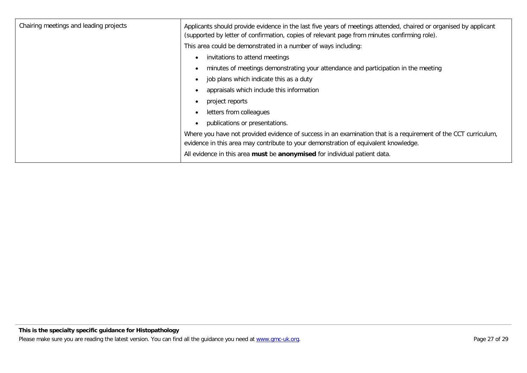| Chairing meetings and leading projects | Applicants should provide evidence in the last five years of meetings attended, chaired or organised by applicant<br>(supported by letter of confirmation, copies of relevant page from minutes confirming role). |
|----------------------------------------|-------------------------------------------------------------------------------------------------------------------------------------------------------------------------------------------------------------------|
|                                        | This area could be demonstrated in a number of ways including:                                                                                                                                                    |
|                                        | invitations to attend meetings                                                                                                                                                                                    |
|                                        | minutes of meetings demonstrating your attendance and participation in the meeting                                                                                                                                |
|                                        | job plans which indicate this as a duty                                                                                                                                                                           |
|                                        | appraisals which include this information                                                                                                                                                                         |
|                                        | project reports                                                                                                                                                                                                   |
|                                        | letters from colleagues<br>$\bullet$                                                                                                                                                                              |
|                                        | publications or presentations.<br>$\bullet$                                                                                                                                                                       |
|                                        | Where you have not provided evidence of success in an examination that is a requirement of the CCT curriculum,<br>evidence in this area may contribute to your demonstration of equivalent knowledge.             |
|                                        | All evidence in this area must be anonymised for individual patient data.                                                                                                                                         |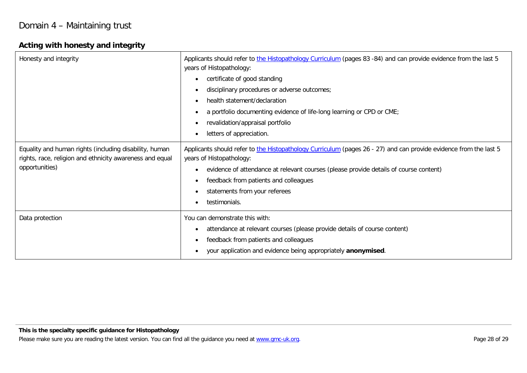### **Acting with honesty and integrity**

| Honesty and integrity                                                                                                                | Applicants should refer to the Histopathology Curriculum (pages 83 -84) and can provide evidence from the last 5<br>years of Histopathology:  |
|--------------------------------------------------------------------------------------------------------------------------------------|-----------------------------------------------------------------------------------------------------------------------------------------------|
|                                                                                                                                      | certificate of good standing<br>$\bullet$                                                                                                     |
|                                                                                                                                      | disciplinary procedures or adverse outcomes;<br>$\bullet$                                                                                     |
|                                                                                                                                      | health statement/declaration<br>$\bullet$                                                                                                     |
|                                                                                                                                      | a portfolio documenting evidence of life-long learning or CPD or CME;<br>$\bullet$                                                            |
|                                                                                                                                      | revalidation/appraisal portfolio                                                                                                              |
|                                                                                                                                      | letters of appreciation.                                                                                                                      |
| Equality and human rights (including disability, human<br>rights, race, religion and ethnicity awareness and equal<br>opportunities) | Applicants should refer to the Histopathology Curriculum (pages 26 - 27) and can provide evidence from the last 5<br>years of Histopathology: |
|                                                                                                                                      | evidence of attendance at relevant courses (please provide details of course content)                                                         |
|                                                                                                                                      | feedback from patients and colleagues<br>$\bullet$                                                                                            |
|                                                                                                                                      | statements from your referees<br>$\bullet$                                                                                                    |
|                                                                                                                                      | testimonials.<br>$\bullet$                                                                                                                    |
| Data protection                                                                                                                      | You can demonstrate this with:                                                                                                                |
|                                                                                                                                      | attendance at relevant courses (please provide details of course content)                                                                     |
|                                                                                                                                      | feedback from patients and colleagues<br>$\bullet$                                                                                            |
|                                                                                                                                      | your application and evidence being appropriately anonymised.                                                                                 |